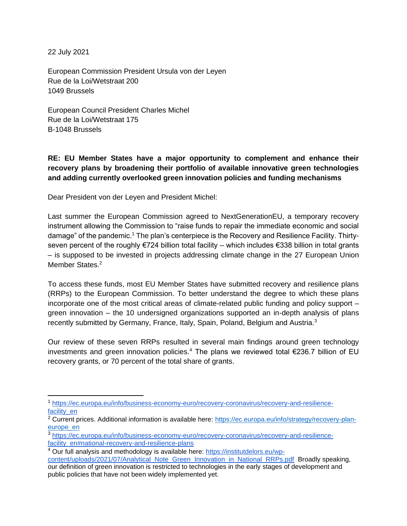22 July 2021

European Commission President Ursula von der Leyen Rue de la Loi/Wetstraat 200 1049 Brussels

European Council President Charles Michel Rue de la Loi/Wetstraat 175 B-1048 Brussels

**RE: EU Member States have a major opportunity to complement and enhance their recovery plans by broadening their portfolio of available innovative green technologies and adding currently overlooked green innovation policies and funding mechanisms**

Dear President von der Leyen and President Michel:

Last summer the European Commission agreed to NextGenerationEU, a temporary recovery instrument allowing the Commission to "raise funds to repair the immediate economic and social damage" of the pandemic.<sup>1</sup> The plan's centerpiece is the Recovery and Resilience Facility. Thirtyseven percent of the roughly €724 billion total facility – which includes €338 billion in total grants – is supposed to be invested in projects addressing climate change in the 27 European Union Member States.<sup>2</sup>

To access these funds, most EU Member States have submitted recovery and resilience plans (RRPs) to the European Commission. To better understand the degree to which these plans incorporate one of the most critical areas of climate-related public funding and policy support – green innovation – the 10 undersigned organizations supported an in-depth analysis of plans recently submitted by Germany, France, Italy, Spain, Poland, Belgium and Austria.<sup>3</sup>

Our review of these seven RRPs resulted in several main findings around green technology investments and green innovation policies.<sup>4</sup> The plans we reviewed total  $\epsilon$ 236.7 billion of EU recovery grants, or 70 percent of the total share of grants.

<sup>1</sup> [https://ec.europa.eu/info/business-economy-euro/recovery-coronavirus/recovery-and-resilience](https://ec.europa.eu/info/business-economy-euro/recovery-coronavirus/recovery-and-resilience-facility_en)[facility\\_en](https://ec.europa.eu/info/business-economy-euro/recovery-coronavirus/recovery-and-resilience-facility_en)

<sup>&</sup>lt;sup>2</sup> Current prices. Additional information is available here: [https://ec.europa.eu/info/strategy/recovery-plan](https://ec.europa.eu/info/strategy/recovery-plan-europe_en)[europe\\_en](https://ec.europa.eu/info/strategy/recovery-plan-europe_en)

<sup>3</sup> [https://ec.europa.eu/info/business-economy-euro/recovery-coronavirus/recovery-and-resilience](https://ec.europa.eu/info/business-economy-euro/recovery-coronavirus/recovery-and-resilience-facility_en#national-recovery-and-resilience-plans)[facility\\_en#national-recovery-and-resilience-plans](https://ec.europa.eu/info/business-economy-euro/recovery-coronavirus/recovery-and-resilience-facility_en#national-recovery-and-resilience-plans)

<sup>4</sup> Our full analysis and methodology is available here: [https://institutdelors.eu/wp-](https://institutdelors.eu/wp-content/uploads/2021/07/Analytical_Note_Green_Innovation_in_National_RRPs.pdf)

[content/uploads/2021/07/Analytical\\_Note\\_Green\\_Innovation\\_in\\_National\\_RRPs.pdf](https://institutdelors.eu/wp-content/uploads/2021/07/Analytical_Note_Green_Innovation_in_National_RRPs.pdf) Broadly speaking, our definition of green innovation is restricted to technologies in the early stages of development and public policies that have not been widely implemented yet.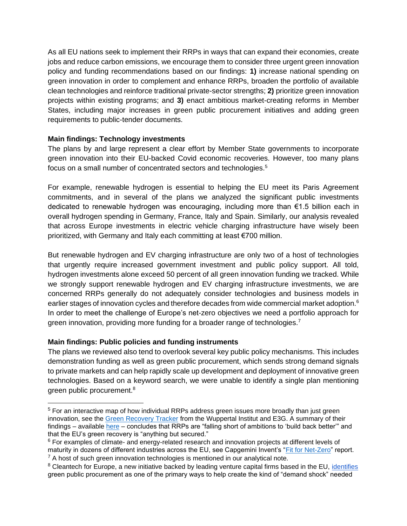As all EU nations seek to implement their RRPs in ways that can expand their economies, create jobs and reduce carbon emissions, we encourage them to consider three urgent green innovation policy and funding recommendations based on our findings: **1)** increase national spending on green innovation in order to complement and enhance RRPs, broaden the portfolio of available clean technologies and reinforce traditional private-sector strengths; **2)** prioritize green innovation projects within existing programs; and **3)** enact ambitious market-creating reforms in Member States, including major increases in green public procurement initiatives and adding green requirements to public-tender documents.

## **Main findings: Technology investments**

The plans by and large represent a clear effort by Member State governments to incorporate green innovation into their EU-backed Covid economic recoveries. However, too many plans focus on a small number of concentrated sectors and technologies.<sup>5</sup>

For example, renewable hydrogen is essential to helping the EU meet its Paris Agreement commitments, and in several of the plans we analyzed the significant public investments dedicated to renewable hydrogen was encouraging, including more than €1.5 billion each in overall hydrogen spending in Germany, France, Italy and Spain. Similarly, our analysis revealed that across Europe investments in electric vehicle charging infrastructure have wisely been prioritized, with Germany and Italy each committing at least €700 million.

But renewable hydrogen and EV charging infrastructure are only two of a host of technologies that urgently require increased government investment and public policy support. All told, hydrogen investments alone exceed 50 percent of all green innovation funding we tracked. While we strongly support renewable hydrogen and EV charging infrastructure investments, we are concerned RRPs generally do not adequately consider technologies and business models in earlier stages of innovation cycles and therefore decades from wide commercial market adoption.<sup>6</sup> In order to meet the challenge of Europe's net-zero objectives we need a portfolio approach for green innovation, providing more funding for a broader range of technologies.<sup>7</sup>

## **Main findings: Public policies and funding instruments**

The plans we reviewed also tend to overlook several key public policy mechanisms. This includes demonstration funding as well as green public procurement, which sends strong demand signals to private markets and can help rapidly scale up development and deployment of innovative green technologies. Based on a keyword search, we were unable to identify a single plan mentioning green public procurement.<sup>8</sup>

<sup>&</sup>lt;sup>5</sup> For an interactive map of how individual RRPs address green issues more broadly than just green innovation, see the [Green Recovery Tracker](https://www.greenrecoverytracker.org/) from the Wuppertal Institut and E3G. A summary of their findings – available [here](https://9tj4025ol53byww26jdkao0x-wpengine.netdna-ssl.com/wp-content/uploads/Green-Recovery-Tracker_Key-Findings_06_2021-1.pdf) – concludes that RRPs are "falling short of ambitions to 'build back better'" and that the EU's green recovery is "anything but secured."

<sup>&</sup>lt;sup>6</sup> For examples of climate- and energy-related research and innovation projects at different levels of maturity in dozens of different industries across the EU, see Capgemini Invent's ["Fit for Net-Zero"](https://www.capgemini.com/resources/investments-in-next-generation-clean-technologies/) report.  $<sup>7</sup>$  A host of such green innovation technologies is mentioned in our analytical note.</sup>

<sup>&</sup>lt;sup>8</sup> Cleantech for Europe, a new initiative backed by leading venture capital firms based in the EU, [identifies](https://www.businesswire.com/news/home/20210708005349/en/New-Investment-Tracker-EU-Cleantech-Investments-Shatter-Records-%E2%82%AC7-Billion-Invested-in-First-Half-of-This-Year) green public procurement as one of the primary ways to help create the kind of "demand shock" needed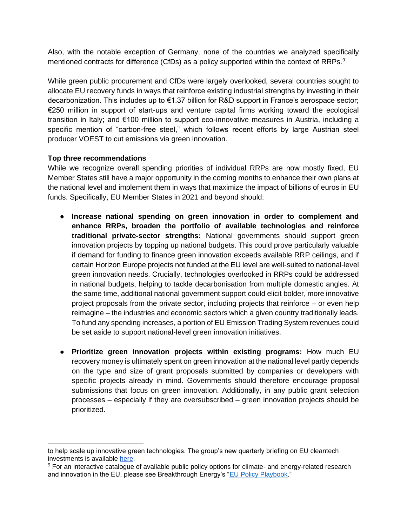Also, with the notable exception of Germany, none of the countries we analyzed specifically mentioned contracts for difference (CfDs) as a policy supported within the context of RRPs.<sup>9</sup>

While green public procurement and CfDs were largely overlooked, several countries sought to allocate EU recovery funds in ways that reinforce existing industrial strengths by investing in their decarbonization. This includes up to €1.37 billion for R&D support in France's aerospace sector; €250 million in support of start-ups and venture capital firms working toward the ecological transition in Italy; and €100 million to support eco-innovative measures in Austria, including a specific mention of "carbon-free steel," which follows recent efforts by large Austrian steel producer VOEST to cut emissions via green innovation.

## **Top three recommendations**

While we recognize overall spending priorities of individual RRPs are now mostly fixed, EU Member States still have a major opportunity in the coming months to enhance their own plans at the national level and implement them in ways that maximize the impact of billions of euros in EU funds. Specifically, EU Member States in 2021 and beyond should:

- **Increase national spending on green innovation in order to complement and enhance RRPs, broaden the portfolio of available technologies and reinforce traditional private-sector strengths:** National governments should support green innovation projects by topping up national budgets. This could prove particularly valuable if demand for funding to finance green innovation exceeds available RRP ceilings, and if certain Horizon Europe projects not funded at the EU level are well-suited to national-level green innovation needs. Crucially, technologies overlooked in RRPs could be addressed in national budgets, helping to tackle decarbonisation from multiple domestic angles. At the same time, additional national government support could elicit bolder, more innovative project proposals from the private sector, including projects that reinforce – or even help reimagine – the industries and economic sectors which a given country traditionally leads. To fund any spending increases, a portion of EU Emission Trading System revenues could be set aside to support national-level green innovation initiatives.
- **Prioritize green innovation projects within existing programs:** How much EU recovery money is ultimately spent on green innovation at the national level partly depends on the type and size of grant proposals submitted by companies or developers with specific projects already in mind. Governments should therefore encourage proposal submissions that focus on green innovation. Additionally, in any public grant selection processes – especially if they are oversubscribed – green innovation projects should be prioritized.

to help scale up innovative green technologies. The group's new quarterly briefing on EU cleantech investments is available [here.](https://www.cleantechforeurope.com/quarterly)

<sup>&</sup>lt;sup>9</sup> For an interactive catalogue of available public policy options for climate- and energy-related research and innovation in the EU, please see Breakthrough Energy's ["EU Policy Playbook.](https://www.breakthroughenergy.org/eu-policy-overview)"